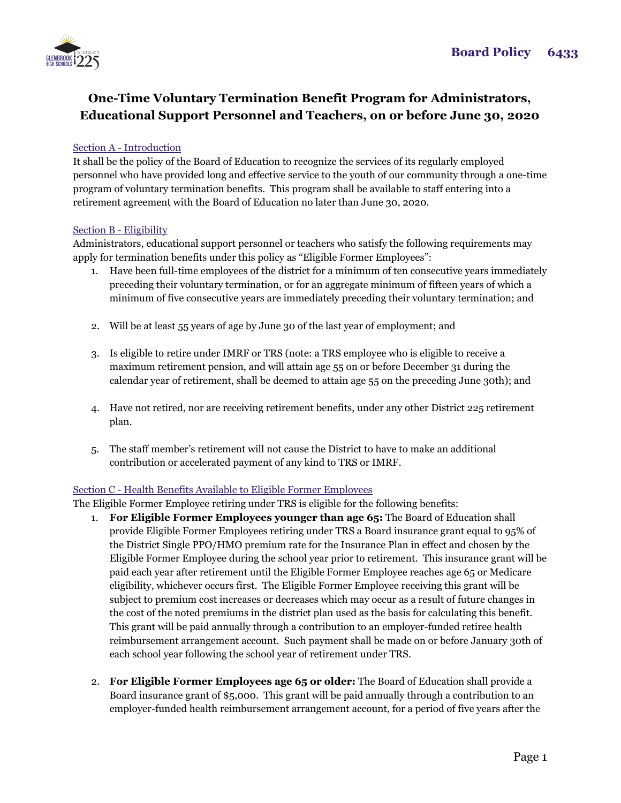

# **One-Time Voluntary Termination Benefit Program for Administrators, Educational Support Personnel and Teachers, on or before June 30, 2020**

## Section A - Introduction

It shall be the policy of the Board of Education to recognize the services of its regularly employed personnel who have provided long and effective service to the youth of our community through a one-time program of voluntary termination benefits. This program shall be available to staff entering into a retirement agreement with the Board of Education no later than June 30, 2020.

### Section B - Eligibility

Administrators, educational support personnel or teachers who satisfy the following requirements may apply for termination benefits under this policy as "Eligible Former Employees":

- 1. Have been full-time employees of the district for a minimum of ten consecutive years immediately preceding their voluntary termination, or for an aggregate minimum of fifteen years of which a minimum of five consecutive years are immediately preceding their voluntary termination; and
- 2. Will be at least 55 years of age by June 30 of the last year of employment; and
- 3. Is eligible to retire under IMRF or TRS (note: a TRS employee who is eligible to receive a maximum retirement pension, and will attain age 55 on or before December 31 during the calendar year of retirement, shall be deemed to attain age 55 on the preceding June 30th); and
- 4. Have not retired, nor are receiving retirement benefits, under any other District 225 retirement plan.
- 5. The staff member's retirement will not cause the District to have to make an additional contribution or accelerated payment of any kind to TRS or IMRF.

## Section C - Health Benefits Available to Eligible Former Employees

The Eligible Former Employee retiring under TRS is eligible for the following benefits:

- 1. **For Eligible Former Employees younger than age 65:** The Board of Education shall provide Eligible Former Employees retiring under TRS a Board insurance grant equal to 95% of the District Single PPO/HMO premium rate for the Insurance Plan in effect and chosen by the Eligible Former Employee during the school year prior to retirement. This insurance grant will be paid each year after retirement until the Eligible Former Employee reaches age 65 or Medicare eligibility, whichever occurs first. The Eligible Former Employee receiving this grant will be subject to premium cost increases or decreases which may occur as a result of future changes in the cost of the noted premiums in the district plan used as the basis for calculating this benefit. This grant will be paid annually through a contribution to an employer-funded retiree health reimbursement arrangement account. Such payment shall be made on or before January 30th of each school year following the school year of retirement under TRS.
- 2. **For Eligible Former Employees age 65 or older:** The Board of Education shall provide a Board insurance grant of \$5,000. This grant will be paid annually through a contribution to an employer-funded health reimbursement arrangement account, for a period of five years after the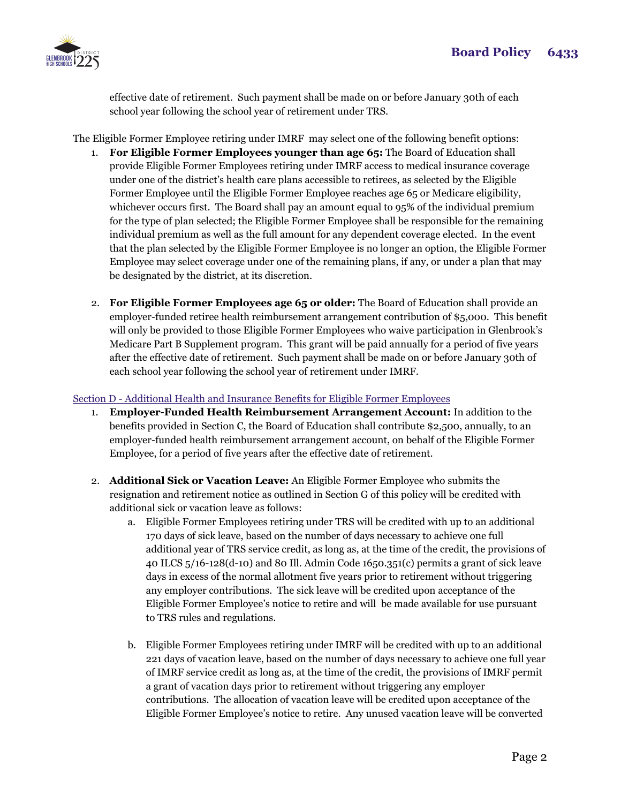

effective date of retirement. Such payment shall be made on or before January 30th of each school year following the school year of retirement under TRS.

The Eligible Former Employee retiring under IMRF may select one of the following benefit options:

- 1. **For Eligible Former Employees younger than age 65:** The Board of Education shall provide Eligible Former Employees retiring under IMRF access to medical insurance coverage under one of the district's health care plans accessible to retirees, as selected by the Eligible Former Employee until the Eligible Former Employee reaches age 65 or Medicare eligibility, whichever occurs first. The Board shall pay an amount equal to 95% of the individual premium for the type of plan selected; the Eligible Former Employee shall be responsible for the remaining individual premium as well as the full amount for any dependent coverage elected. In the event that the plan selected by the Eligible Former Employee is no longer an option, the Eligible Former Employee may select coverage under one of the remaining plans, if any, or under a plan that may be designated by the district, at its discretion.
- 2. **For Eligible Former Employees age 65 or older:** The Board of Education shall provide an employer-funded retiree health reimbursement arrangement contribution of \$5,000. This benefit will only be provided to those Eligible Former Employees who waive participation in Glenbrook's Medicare Part B Supplement program. This grant will be paid annually for a period of five years after the effective date of retirement. Such payment shall be made on or before January 30th of each school year following the school year of retirement under IMRF.

## Section D - Additional Health and Insurance Benefits for Eligible Former Employees

- 1. **Employer-Funded Health Reimbursement Arrangement Account:** In addition to the benefits provided in Section C, the Board of Education shall contribute \$2,500, annually, to an employer-funded health reimbursement arrangement account, on behalf of the Eligible Former Employee, for a period of five years after the effective date of retirement.
- 2. **Additional Sick or Vacation Leave:** An Eligible Former Employee who submits the resignation and retirement notice as outlined in Section G of this policy will be credited with additional sick or vacation leave as follows:
	- a. Eligible Former Employees retiring under TRS will be credited with up to an additional 170 days of sick leave, based on the number of days necessary to achieve one full additional year of TRS service credit, as long as, at the time of the credit, the provisions of 40 ILCS 5/16-128(d-10) and 80 Ill. Admin Code 1650.351(c) permits a grant of sick leave days in excess of the normal allotment five years prior to retirement without triggering any employer contributions. The sick leave will be credited upon acceptance of the Eligible Former Employee's notice to retire and will be made available for use pursuant to TRS rules and regulations.
	- b. Eligible Former Employees retiring under IMRF will be credited with up to an additional 221 days of vacation leave, based on the number of days necessary to achieve one full year of IMRF service credit as long as, at the time of the credit, the provisions of IMRF permit a grant of vacation days prior to retirement without triggering any employer contributions. The allocation of vacation leave will be credited upon acceptance of the Eligible Former Employee's notice to retire. Any unused vacation leave will be converted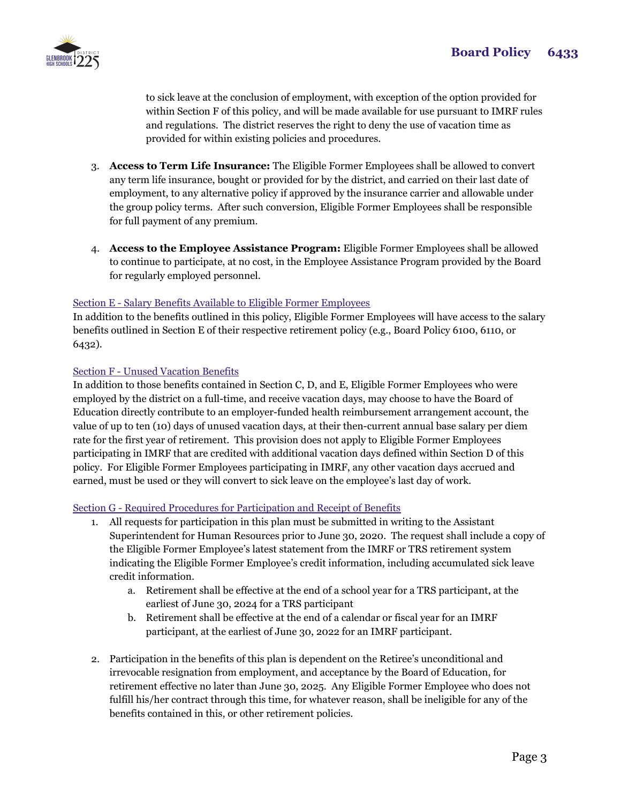

to sick leave at the conclusion of employment, with exception of the option provided for within Section F of this policy, and will be made available for use pursuant to IMRF rules and regulations. The district reserves the right to deny the use of vacation time as provided for within existing policies and procedures.

- 3. **Access to Term Life Insurance:** The Eligible Former Employees shall be allowed to convert any term life insurance, bought or provided for by the district, and carried on their last date of employment, to any alternative policy if approved by the insurance carrier and allowable under the group policy terms. After such conversion, Eligible Former Employees shall be responsible for full payment of any premium.
- 4. **Access to the Employee Assistance Program:** Eligible Former Employees shall be allowed to continue to participate, at no cost, in the Employee Assistance Program provided by the Board for regularly employed personnel.

### Section E - Salary Benefits Available to Eligible Former Employees

In addition to the benefits outlined in this policy, Eligible Former Employees will have access to the salary benefits outlined in Section E of their respective retirement policy (e.g., Board Policy 6100, 6110, or 6432).

### Section F - Unused Vacation Benefits

In addition to those benefits contained in Section C, D, and E, Eligible Former Employees who were employed by the district on a full-time, and receive vacation days, may choose to have the Board of Education directly contribute to an employer-funded health reimbursement arrangement account, the value of up to ten (10) days of unused vacation days, at their then-current annual base salary per diem rate for the first year of retirement. This provision does not apply to Eligible Former Employees participating in IMRF that are credited with additional vacation days defined within Section D of this policy. For Eligible Former Employees participating in IMRF, any other vacation days accrued and earned, must be used or they will convert to sick leave on the employee's last day of work.

#### Section G - Required Procedures for Participation and Receipt of Benefits

- 1. All requests for participation in this plan must be submitted in writing to the Assistant Superintendent for Human Resources prior to June 30, 2020. The request shall include a copy of the Eligible Former Employee's latest statement from the IMRF or TRS retirement system indicating the Eligible Former Employee's credit information, including accumulated sick leave credit information.
	- a. Retirement shall be effective at the end of a school year for a TRS participant, at the earliest of June 30, 2024 for a TRS participant
	- b. Retirement shall be effective at the end of a calendar or fiscal year for an IMRF participant, at the earliest of June 30, 2022 for an IMRF participant.
- 2. Participation in the benefits of this plan is dependent on the Retiree's unconditional and irrevocable resignation from employment, and acceptance by the Board of Education, for retirement effective no later than June 30, 2025. Any Eligible Former Employee who does not fulfill his/her contract through this time, for whatever reason, shall be ineligible for any of the benefits contained in this, or other retirement policies.